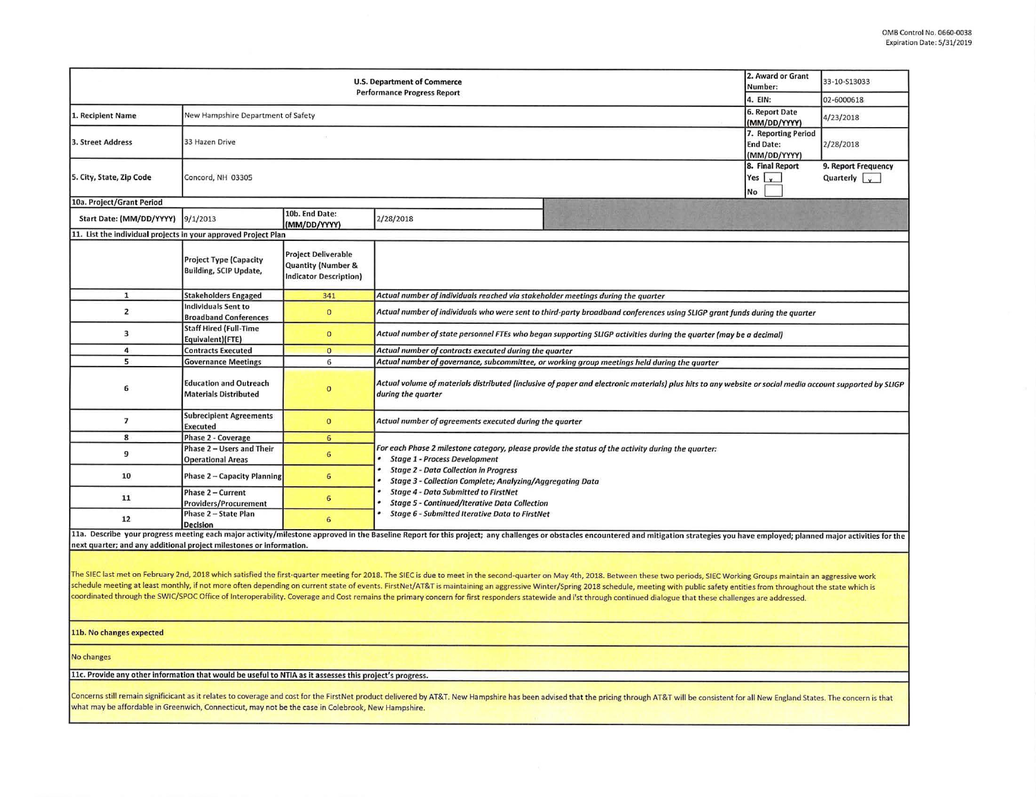$~\cdot$  -

|                                                                | 2. Award or Grant<br>Number:                                   | 33-10-S13033                                                               |                                                                                                                                                                                                                                |  |  |  |  |  |  |  |  |
|----------------------------------------------------------------|----------------------------------------------------------------|----------------------------------------------------------------------------|--------------------------------------------------------------------------------------------------------------------------------------------------------------------------------------------------------------------------------|--|--|--|--|--|--|--|--|
|                                                                | 4. EIN:                                                        | 02-6000618                                                                 |                                                                                                                                                                                                                                |  |  |  |  |  |  |  |  |
| 1. Recipient Name                                              | New Hampshire Department of Safety                             | 6. Report Date<br>(MM/DD/YYYY)                                             | 4/23/2018                                                                                                                                                                                                                      |  |  |  |  |  |  |  |  |
| 3. Street Address                                              | 33 Hazen Drive                                                 | 7. Reporting Period<br><b>End Date:</b><br>(MM/DD/YYYY)                    | 2/28/2018                                                                                                                                                                                                                      |  |  |  |  |  |  |  |  |
| 5. City, State, Zip Code                                       | Concord, NH 03305                                              | 8. Final Report<br>Yes $\mathbf{x}$<br>No                                  | 9. Report Frequency<br>Quarterly $\sqrt{\sqrt{2}}$                                                                                                                                                                             |  |  |  |  |  |  |  |  |
| 10a. Project/Grant Period                                      |                                                                |                                                                            |                                                                                                                                                                                                                                |  |  |  |  |  |  |  |  |
| Start Date: (MM/DD/YYYY)                                       | 9/1/2013                                                       | 10b. End Date:<br>(MM/DD/YYYY)                                             | 2/28/2018                                                                                                                                                                                                                      |  |  |  |  |  |  |  |  |
| 11. List the individual projects in your approved Project Plan |                                                                |                                                                            |                                                                                                                                                                                                                                |  |  |  |  |  |  |  |  |
|                                                                | <b>Project Type (Capacity</b><br><b>Building, SCIP Update,</b> | <b>Project Deliverable</b><br>Quantity (Number &<br>Indicator Description) |                                                                                                                                                                                                                                |  |  |  |  |  |  |  |  |
| $\mathbf{1}$                                                   | <b>Stakeholders Engaged</b>                                    | 341                                                                        | Actual number of individuals reached via stakeholder meetings during the quarter                                                                                                                                               |  |  |  |  |  |  |  |  |
| $\overline{2}$                                                 | Individuals Sent to<br><b>Broadband Conferences</b>            | $\circ$                                                                    | Actual number of individuals who were sent to third-party broadband conferences using SLIGP grant funds during the quarter                                                                                                     |  |  |  |  |  |  |  |  |
| $\overline{\mathbf{3}}$                                        | <b>Staff Hired (Full-Time</b><br>Equivalent)(FTE)              | $\mathbf{0}$                                                               | Actual number of state personnel FTEs who began supporting SLIGP activities during the quarter (may be a decimal)                                                                                                              |  |  |  |  |  |  |  |  |
| 4                                                              | <b>Contracts Executed</b>                                      | $\mathbf{0}$                                                               | Actual number of contracts executed during the quarter                                                                                                                                                                         |  |  |  |  |  |  |  |  |
| 5                                                              | <b>Governance Meetings</b>                                     | 6                                                                          | Actual number of governance, subcommittee, or working group meetings held during the quarter                                                                                                                                   |  |  |  |  |  |  |  |  |
| 6                                                              | <b>Education and Outreach</b><br><b>Materials Distributed</b>  | $\overline{0}$                                                             | Actual volume of materials distributed (inclusive of paper and electronic materials) plus hits to any website or social media account supported by SLIGP<br>during the quarter                                                 |  |  |  |  |  |  |  |  |
| $\overline{7}$                                                 | <b>Subrecipient Agreements</b><br>Executed                     | $\mathbf{0}$                                                               | Actual number of agreements executed during the quarter                                                                                                                                                                        |  |  |  |  |  |  |  |  |
| 8                                                              | <b>Phase 2 - Coverage</b>                                      | 6                                                                          |                                                                                                                                                                                                                                |  |  |  |  |  |  |  |  |
| 9                                                              | Phase 2 - Users and Their<br><b>Operational Areas</b>          | 6                                                                          | For each Phase 2 milestone category, please provide the status of the activity during the quarter:<br><b>Stage 1 - Process Development</b>                                                                                     |  |  |  |  |  |  |  |  |
| 10                                                             | <b>Phase 2 - Capacity Planning</b>                             | 6                                                                          | <b>Stage 2 - Data Collection in Progress</b><br>Stage 3 - Collection Complete; Analyzing/Aggregating Data                                                                                                                      |  |  |  |  |  |  |  |  |
| 11                                                             | Phase 2 - Current<br><b>Providers/Procurement</b>              | 6                                                                          | <b>Stage 4 - Data Submitted to FirstNet</b><br><b>Stage 5 - Continued/Iterative Data Collection</b>                                                                                                                            |  |  |  |  |  |  |  |  |
| 12                                                             | Phase 2 - State Plan<br><b>Decision</b>                        | 6                                                                          | <b>Stage 6 - Submitted Iterative Data to FirstNet</b>                                                                                                                                                                          |  |  |  |  |  |  |  |  |
|                                                                |                                                                |                                                                            | 11a. Describe your progress meeting each major activity/milestone approved in the Baseline Report for this project; any challenges or obstacles encountered and mitigation strategies you have employed; planned major activit |  |  |  |  |  |  |  |  |

next quarter; and any additional project milestones or information.

<u>ii ,... is in the set of the set of the set of the set of the set of the set of the set of the set of the set o</u>

The SIEC last met on February 2nd, 2018 which satisfied the first-quarter meeting for 2018. The SIEC is due to meet in the second-quarter on May 4th, 2018. Between these two periods, SIEC Working Groups maintain an aggress schedule meeting at least monthly, if not more often depending on current state of events. FirstNet/AT&T is maintaining an aggressive Winter/Spring 2018 schedule, meeting with public safety entities from throughout the sta coordmated through the SWIC/SPOC Office of Interoperability. Coverage and Cost remains the primary concern for first responders statewide and l'st through continued dialogue that these challenges are addressed.

.<br>11b. No changes expected<br>**11b. No changes expected** 

- ~~ -"" - - - - -~F~ v~i~~-· No changes ,,.\_\_,,I; -T ,....- ,. I ~i--5~.., 11c. Provide any other information that would be useful to NTIA as it assesses this project's progress.

Concerns still remain significicant as it relates to coverage and cost for the FirstNet product delivered by AT&T. New Hampshire has been advised that the pricing through AT&T will be consistent for all New England States. what may be affordable in Greenwich, Connecticut, may not be the case in Colebrook, New Hampshire.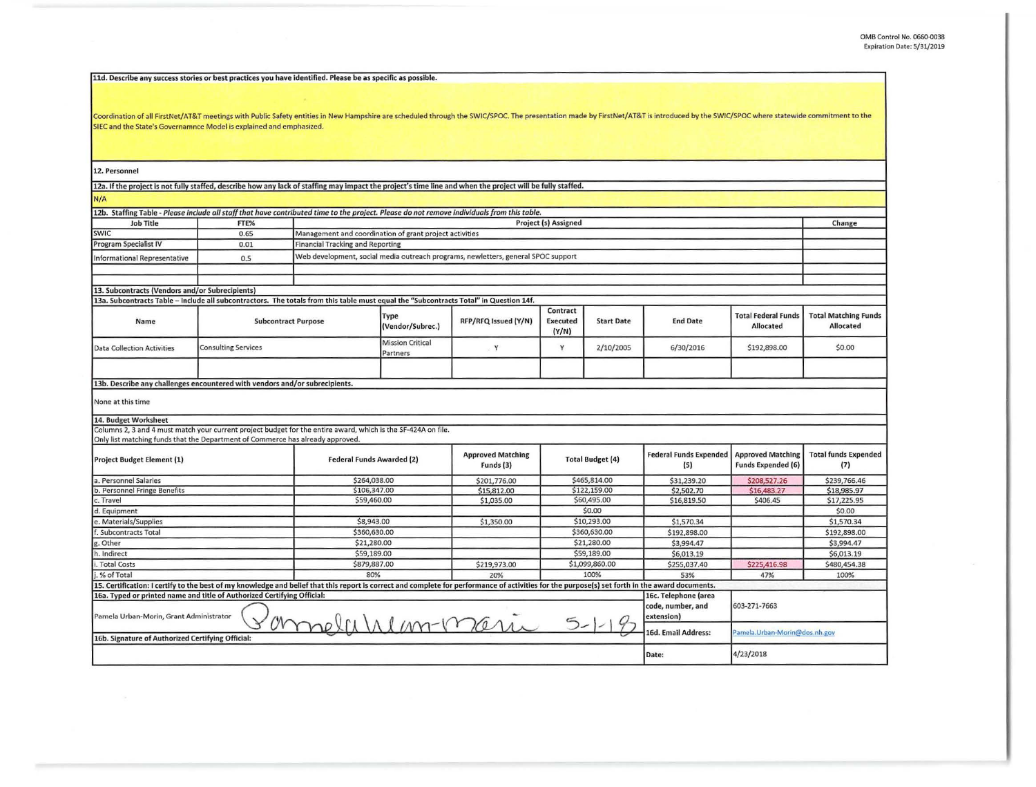| 11d. Describe any success stories or best practices you have identified. Please be as specific as possible.                                                                                                                   |                            |                                                                                                                                                                     |                                     |                                                                                   |                         |                   |                                           |                                         |                             |  |  |  |  |
|-------------------------------------------------------------------------------------------------------------------------------------------------------------------------------------------------------------------------------|----------------------------|---------------------------------------------------------------------------------------------------------------------------------------------------------------------|-------------------------------------|-----------------------------------------------------------------------------------|-------------------------|-------------------|-------------------------------------------|-----------------------------------------|-----------------------------|--|--|--|--|
|                                                                                                                                                                                                                               |                            |                                                                                                                                                                     |                                     |                                                                                   |                         |                   |                                           |                                         |                             |  |  |  |  |
|                                                                                                                                                                                                                               |                            |                                                                                                                                                                     |                                     |                                                                                   |                         |                   |                                           |                                         |                             |  |  |  |  |
| Coordination of all FirstNet/AT&T meetings with Public Safety entities in New Hampshire are scheduled through the SWIC/SPOC. The presentation made by FirstNet/AT&T is introduced by the SWIC/SPOC where statewide commitment |                            |                                                                                                                                                                     |                                     |                                                                                   |                         |                   |                                           |                                         |                             |  |  |  |  |
| SIEC and the State's Governamnce Model is explained and emphasized.                                                                                                                                                           |                            |                                                                                                                                                                     |                                     |                                                                                   |                         |                   |                                           |                                         |                             |  |  |  |  |
|                                                                                                                                                                                                                               |                            |                                                                                                                                                                     |                                     |                                                                                   |                         |                   |                                           |                                         |                             |  |  |  |  |
|                                                                                                                                                                                                                               |                            |                                                                                                                                                                     |                                     |                                                                                   |                         |                   |                                           |                                         |                             |  |  |  |  |
|                                                                                                                                                                                                                               |                            |                                                                                                                                                                     |                                     |                                                                                   |                         |                   |                                           |                                         |                             |  |  |  |  |
| 12. Personnel                                                                                                                                                                                                                 |                            |                                                                                                                                                                     |                                     |                                                                                   |                         |                   |                                           |                                         |                             |  |  |  |  |
| 12a. If the project is not fully staffed, describe how any lack of staffing may impact the project's time line and when the project will be fully staffed.                                                                    |                            |                                                                                                                                                                     |                                     |                                                                                   |                         |                   |                                           |                                         |                             |  |  |  |  |
| N/A                                                                                                                                                                                                                           |                            |                                                                                                                                                                     |                                     |                                                                                   |                         |                   |                                           |                                         |                             |  |  |  |  |
|                                                                                                                                                                                                                               |                            |                                                                                                                                                                     |                                     |                                                                                   |                         |                   |                                           |                                         |                             |  |  |  |  |
| <b>Job Title</b>                                                                                                                                                                                                              | FTE%                       | 12b. Staffing Table - Please include all staff that have contributed time to the project. Please do not remove individuals from this table.<br>Project (s) Assigned |                                     |                                                                                   |                         |                   |                                           |                                         |                             |  |  |  |  |
| <b>SWIC</b>                                                                                                                                                                                                                   | 0.65                       | Management and coordination of grant project activities                                                                                                             |                                     |                                                                                   |                         |                   |                                           |                                         | Change                      |  |  |  |  |
| <b>Program Specialist IV</b>                                                                                                                                                                                                  | 0.01                       | <b>Financial Tracking and Reporting</b>                                                                                                                             |                                     |                                                                                   |                         |                   |                                           |                                         |                             |  |  |  |  |
| <b>Informational Representative</b>                                                                                                                                                                                           | 0.5                        |                                                                                                                                                                     |                                     | Web development, social media outreach programs, newletters, general SPOC support |                         |                   |                                           |                                         |                             |  |  |  |  |
|                                                                                                                                                                                                                               |                            |                                                                                                                                                                     |                                     |                                                                                   |                         |                   |                                           |                                         |                             |  |  |  |  |
|                                                                                                                                                                                                                               |                            |                                                                                                                                                                     |                                     |                                                                                   |                         |                   |                                           |                                         |                             |  |  |  |  |
| 13. Subcontracts (Vendors and/or Subrecipients)                                                                                                                                                                               |                            |                                                                                                                                                                     |                                     |                                                                                   |                         |                   |                                           |                                         |                             |  |  |  |  |
| 13a. Subcontracts Table - Include all subcontractors. The totals from this table must equal the "Subcontracts Total" in Question 14f.                                                                                         |                            |                                                                                                                                                                     |                                     |                                                                                   |                         |                   |                                           |                                         |                             |  |  |  |  |
|                                                                                                                                                                                                                               |                            |                                                                                                                                                                     | Type                                | RFP/RFQ Issued (Y/N)                                                              | Contract                |                   |                                           | <b>Total Federal Funds</b><br>Allocated | <b>Total Matching Funds</b> |  |  |  |  |
| Name                                                                                                                                                                                                                          | <b>Subcontract Purpose</b> |                                                                                                                                                                     | (Vendor/Subrec.)                    |                                                                                   | <b>Executed</b>         | <b>Start Date</b> | <b>End Date</b>                           |                                         | <b>Allocated</b>            |  |  |  |  |
|                                                                                                                                                                                                                               |                            |                                                                                                                                                                     |                                     |                                                                                   | (Y/N)                   |                   |                                           |                                         |                             |  |  |  |  |
| <b>Data Collection Activities</b>                                                                                                                                                                                             | <b>Consulting Services</b> |                                                                                                                                                                     | <b>Mission Critical</b><br>Partners | Y                                                                                 | Y                       | 2/10/2005         | 6/30/2016                                 | \$192,898.00                            | \$0.00                      |  |  |  |  |
|                                                                                                                                                                                                                               |                            |                                                                                                                                                                     |                                     |                                                                                   |                         |                   |                                           |                                         |                             |  |  |  |  |
|                                                                                                                                                                                                                               |                            |                                                                                                                                                                     |                                     |                                                                                   |                         |                   |                                           |                                         |                             |  |  |  |  |
| 13b. Describe any challenges encountered with vendors and/or subrecipients.                                                                                                                                                   |                            |                                                                                                                                                                     |                                     |                                                                                   |                         |                   |                                           |                                         |                             |  |  |  |  |
|                                                                                                                                                                                                                               |                            |                                                                                                                                                                     |                                     |                                                                                   |                         |                   |                                           |                                         |                             |  |  |  |  |
| None at this time                                                                                                                                                                                                             |                            |                                                                                                                                                                     |                                     |                                                                                   |                         |                   |                                           |                                         |                             |  |  |  |  |
| 14. Budget Worksheet                                                                                                                                                                                                          |                            |                                                                                                                                                                     |                                     |                                                                                   |                         |                   |                                           |                                         |                             |  |  |  |  |
| Columns 2, 3 and 4 must match your current project budget for the entire award, which is the SF-424A on file.                                                                                                                 |                            |                                                                                                                                                                     |                                     |                                                                                   |                         |                   |                                           |                                         |                             |  |  |  |  |
| Only list matching funds that the Department of Commerce has already approved.                                                                                                                                                |                            |                                                                                                                                                                     |                                     |                                                                                   |                         |                   |                                           |                                         |                             |  |  |  |  |
| Project Budget Element (1)<br>a. Personnel Salaries                                                                                                                                                                           |                            |                                                                                                                                                                     |                                     | <b>Approved Matching</b>                                                          | <b>Total Budget (4)</b> |                   | <b>Federal Funds Expended</b>             | <b>Approved Matching</b>                | <b>Total funds Expended</b> |  |  |  |  |
|                                                                                                                                                                                                                               |                            | <b>Federal Funds Awarded (2)</b>                                                                                                                                    |                                     | Funds (3)                                                                         |                         |                   | (5)                                       | <b>Funds Expended (6)</b>               | (7)                         |  |  |  |  |
|                                                                                                                                                                                                                               |                            | \$264,038.00                                                                                                                                                        |                                     | \$201,776.00                                                                      | \$465,814.00            |                   | \$31,239.20                               | \$208,527.26                            | \$239,766,46                |  |  |  |  |
| b. Personnel Fringe Benefits                                                                                                                                                                                                  |                            | \$106,347.00                                                                                                                                                        |                                     | \$15,812.00                                                                       | \$122,159.00            |                   | \$2,502.70                                | \$16,483,27                             | \$18,985.97                 |  |  |  |  |
| c. Travel                                                                                                                                                                                                                     |                            | \$59,460.00                                                                                                                                                         |                                     | \$1,035.00                                                                        | \$60,495.00             |                   | \$16,819.50                               | \$406.45                                | \$17,225.95                 |  |  |  |  |
| d. Equipment                                                                                                                                                                                                                  |                            |                                                                                                                                                                     |                                     |                                                                                   | \$0.00                  |                   |                                           |                                         | \$0.00                      |  |  |  |  |
| e. Materials/Supplies                                                                                                                                                                                                         |                            | \$8,943.00                                                                                                                                                          |                                     | \$1,350.00                                                                        | \$10,293.00             |                   | \$1,570.34                                |                                         | \$1,570.34                  |  |  |  |  |
| Subcontracts Total                                                                                                                                                                                                            |                            | \$360,630.00                                                                                                                                                        |                                     |                                                                                   | \$360,630.00            |                   | \$192,898.00                              |                                         | \$192,898.00                |  |  |  |  |
| g. Other                                                                                                                                                                                                                      |                            | \$21,280.00                                                                                                                                                         |                                     |                                                                                   | \$21,280.00             |                   | \$3,994.47                                |                                         | \$3,994.47                  |  |  |  |  |
| h. Indirect                                                                                                                                                                                                                   |                            | \$59,189.00                                                                                                                                                         |                                     |                                                                                   | \$59,189.00             |                   | \$6,013.19                                |                                         | \$6,013.19                  |  |  |  |  |
| \$879,887.00<br>. Total Costs                                                                                                                                                                                                 |                            |                                                                                                                                                                     | \$219,973.00                        |                                                                                   | \$1,099,860.00          | \$255,037.40      | \$225,416.98                              | \$480,454.38                            |                             |  |  |  |  |
| . % of Total                                                                                                                                                                                                                  |                            | 80%                                                                                                                                                                 |                                     | 20%                                                                               |                         | 100%              | 53%                                       | 47%                                     | 100%                        |  |  |  |  |
| 15. Certification: I certify to the best of my knowledge and belief that this report is correct and complete for performance of activities for the purpose(s) set forth in the award documents.                               |                            |                                                                                                                                                                     |                                     |                                                                                   |                         |                   |                                           |                                         |                             |  |  |  |  |
| 16a. Typed or printed name and title of Authorized Certifying Official:                                                                                                                                                       |                            |                                                                                                                                                                     |                                     |                                                                                   |                         |                   | 16c. Telephone (area<br>code, number, and |                                         |                             |  |  |  |  |
|                                                                                                                                                                                                                               |                            |                                                                                                                                                                     |                                     |                                                                                   |                         |                   |                                           | 603-271-7663                            |                             |  |  |  |  |
| Pamela Urban-Morin, Grant Administrator<br>Omnelli Wenn-maria 5-1-1                                                                                                                                                           |                            |                                                                                                                                                                     |                                     |                                                                                   |                         |                   | extension)<br>16d. Email Address:         |                                         |                             |  |  |  |  |
| 16b. Signature of Authorized Certifying Official:                                                                                                                                                                             |                            |                                                                                                                                                                     |                                     |                                                                                   |                         |                   |                                           | Pamela. Urban-Morin@dos.nh.gov          |                             |  |  |  |  |
|                                                                                                                                                                                                                               |                            |                                                                                                                                                                     |                                     |                                                                                   |                         |                   |                                           |                                         |                             |  |  |  |  |
|                                                                                                                                                                                                                               |                            |                                                                                                                                                                     |                                     |                                                                                   |                         |                   | Date:                                     | 4/23/2018                               |                             |  |  |  |  |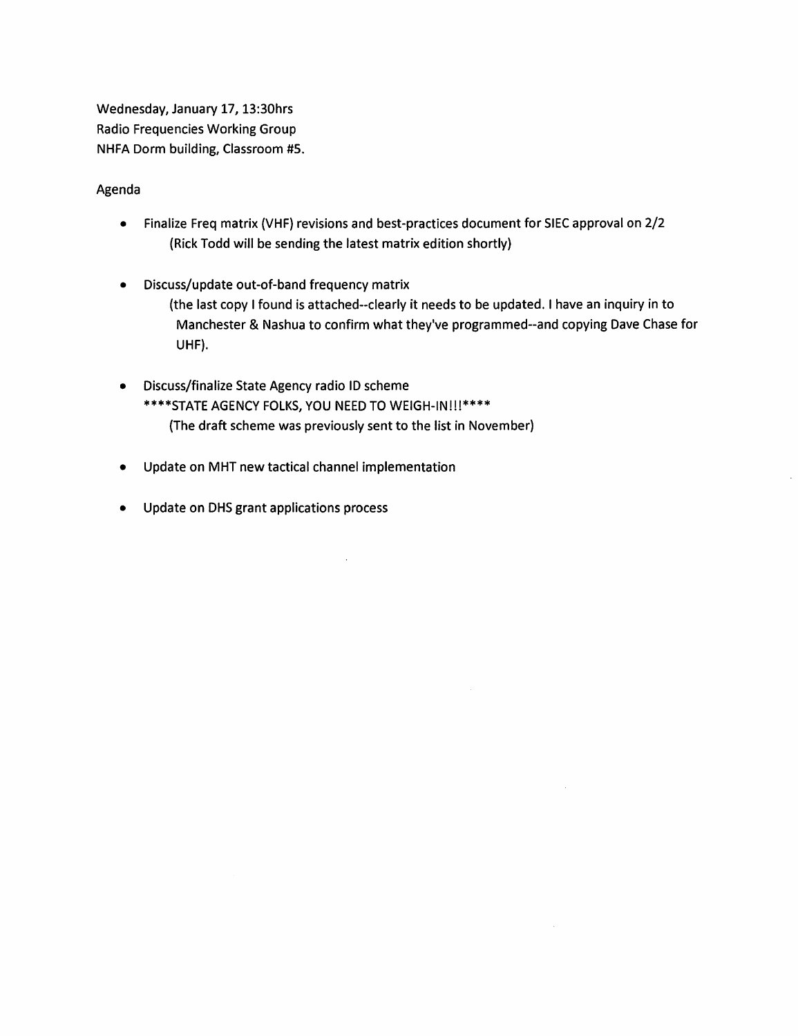Wednesday, January 17, 13:30hrs Radio Frequencies Working Group NHFA Dorm building, Classroom #5.

# Agenda

- Finalize Freq matrix (VHF} revisions and best-practices document for SIEC approval on 2/2 {Rick Todd will be sending the latest matrix edition shortly)
- Discuss/update out-of-band frequency matrix (the last copy I found is attached--clearly it needs to be updated. I have an inquiry in to Manchester & Nashua to confirm what they've programmed--and copying Dave Chase for UHF}.

 $\sim$ 

- Discuss/finalize State Agency radio ID scheme \*\*\*\*STATE AGENCY FOLKS, YOU NEED TO WEIGH-IN!!!\*\*\*\* {The draft scheme was previously sent to the list in November}
- Update on MHT new tactical channel implementation
- Update on DHS grant applications process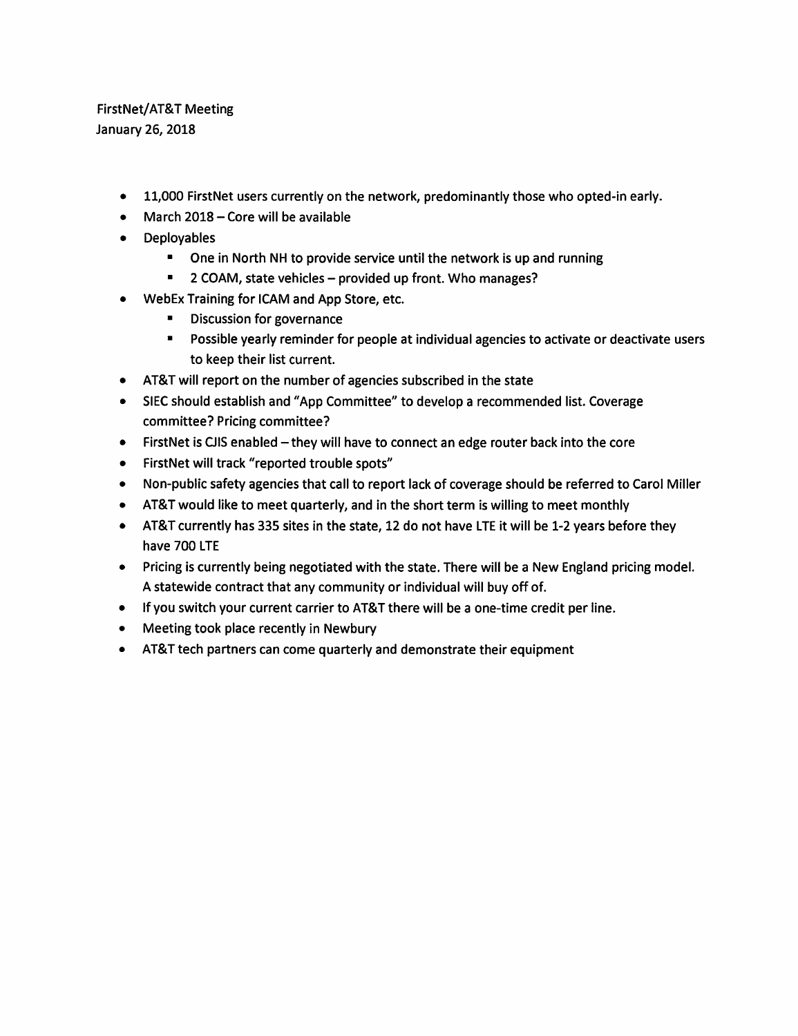# FirstNet/AT&T Meeting January 26, 2018

- 11,000 FirstNet users currently on the network, predominantly those who opted-in early.
- March  $2018$  Core will be available
- Deployables
	- One in North NH to provide service until the network is up and running
	- **2 COAM, state vehicles provided up front. Who manages?**
- WebEx Training for ICAM and App Store, etc.
	- Discussion for governance
	- Possible yearly reminder for people at individual agencies to activate or deactivate users to keep their list current.
- AT&T will report on the number of agencies subscribed in the state
- SIEC should establish and "App Committee" to develop a recommended list. Coverage committee? Pricing committee?
- FirstNet is CJIS enabled they will have to connect an edge router back into the core
- FirstNet will track "reported trouble spots"
- Non-public safety agencies that call to report lack of coverage should be referred to Carol Miller
- AT&T would like to meet quarterly, and in the short term is willing to meet monthly
- AT&T currently has 335 sites in the state, 12 do not have LTE it will be 1-2 years before they have 700 LTE
- Pricing is currently being negotiated with the state. There will be a New England pricing model. A statewide contract that any community or individual will buy off of.
- If you switch your current carrier to AT&T there will be a one-time credit per line.
- Meeting took place recently in Newbury
- AT&T tech partners can come quarterly and demonstrate their equipment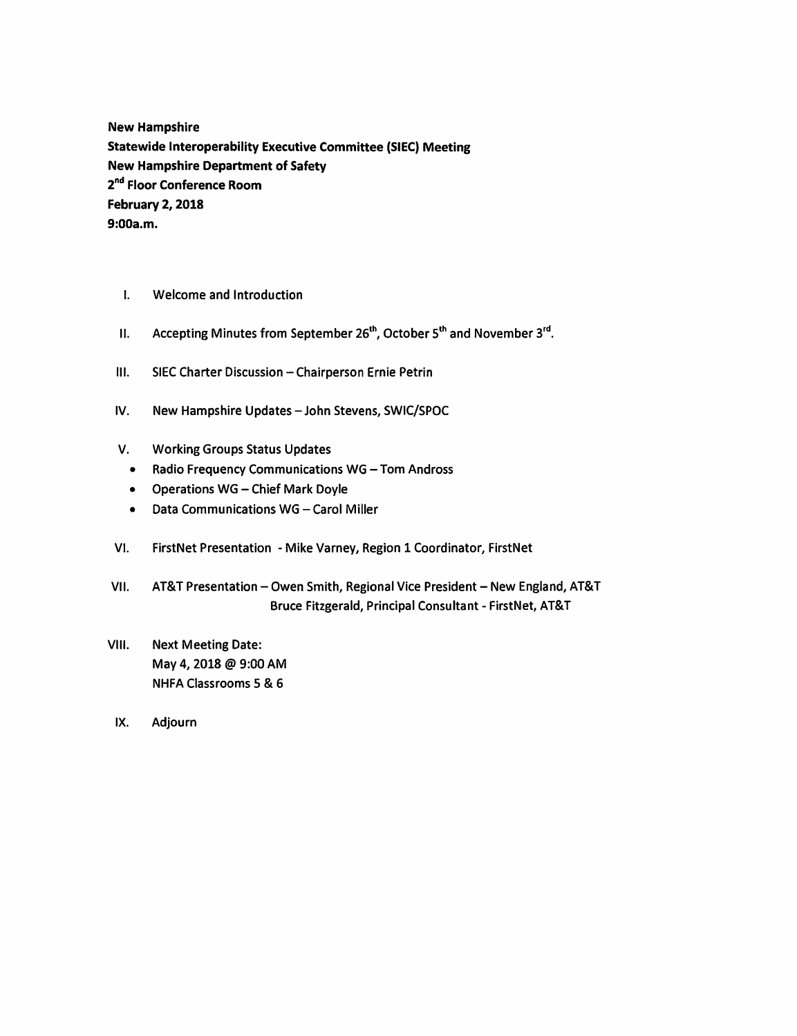**New Hampshire Statewide Interoperability Executive Committee (SIEC) Meeting New Hampshire Department of Safety 2nd Floor Conference Room February 2, 2018 9:00a.m.** 

- I. Welcome and Introduction
- II. Accepting Minutes from September 26<sup>th</sup>, October 5<sup>th</sup> and November 3<sup>rd</sup>.
- III. SIEC Charter Discussion Chairperson Ernie Petrin
- IV. New Hampshire Updates John Stevens, SWIC/SPOC
- V. Working Groups Status Updates
	- Radio Frequency Communications WG Tom Andross
	- Operations WG Chief Mark Doyle
	- Data Communications WG Carol Miller
- VI. FirstNet Presentation Mike Varney, Region 1 Coordinator, FirstNet
- VII. AT&T Presentation-Owen Smith, Regional Vice President-New England, AT&T Bruce Fitzgerald, Principal Consultant- FirstNet, AT&T
- VIII. Next Meeting Date: May 4, 2018 @ 9:00 AM NHFA Classrooms 5 & 6
- IX. Adjourn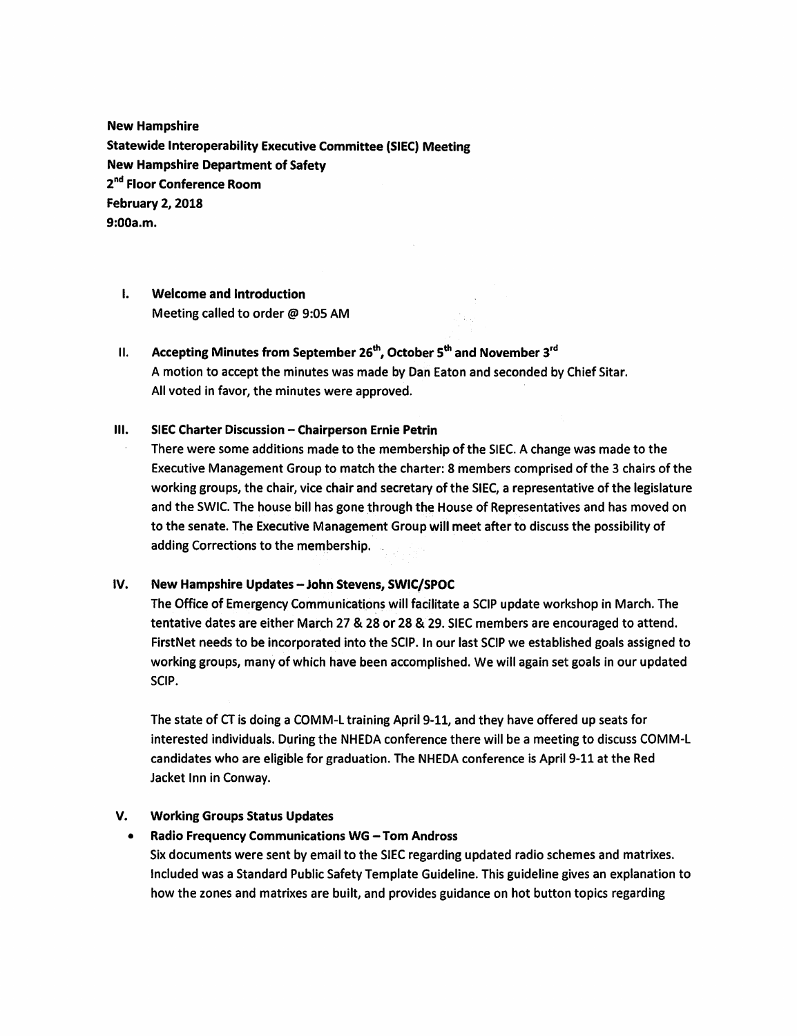**New Hampshire Statewide Interoperability Executive Committee (SIEC) Meeting New Hampshire Department of Safety 2nd Floor Conference Room February 2, 2018 9:00a.m.** 

- I. **Welcome and Introduction**  Meeting called to order @ 9:05 AM
- II. **Accepting Minutes from September 26th, October 5th and November 3rd**  A motion to accept the minutes was made by Dan Eaton and seconded by Chief Sitar. All voted in favor, the minutes were approved.

#### **III.** SIEC Charter Discussion - Chairperson Ernie Petrin

There were some additions made to the membership of the SIEC. A change was made to the Executive Management Group to match the charter: 8 members comprised of the 3 chairs of the working groups, the chair, vice chair and secretary of the SIEC, a representative of the legislature and the SWIC. The house bill has gone through the House of Representatives and has moved on to the senate. The Executive Management Group will meet after to discuss the possibility of adding Corrections to the membership.

### **IV.** New Hampshire Updates - John Stevens, SWIC/SPOC

The Office of Emergency Communications will facilitate a SCIP update workshop in March. The tentative dates are either March 27 & 28 or 28 & 29. SIEC members are encouraged to attend. FirstNet needs to be incorporated into the SCIP. In our last SCIP we established goals assigned to working groups, many of which have been accomplished. We will again set goals in our updated SCIP.

The state of CT is doing a COMM-L training April 9-11, and they have offered up seats for interested individuals. During the NHEDA conference there will be a meeting to discuss COMM-L candidates who are eligible for graduation. The NHEDA conference is April 9-11 at the Red Jacket Inn in Conway.

## **V. Working Groups Status Updates**

### • **Radio Frequency Communications WG** - **Tom Andress**

Six documents were sent by email to the SIEC regarding updated radio schemes and matrixes. Included was a Standard Public Safety Template Guideline. This guideline gives an explanation to how the zones and matrixes are built, and provides guidance on hot button topics regarding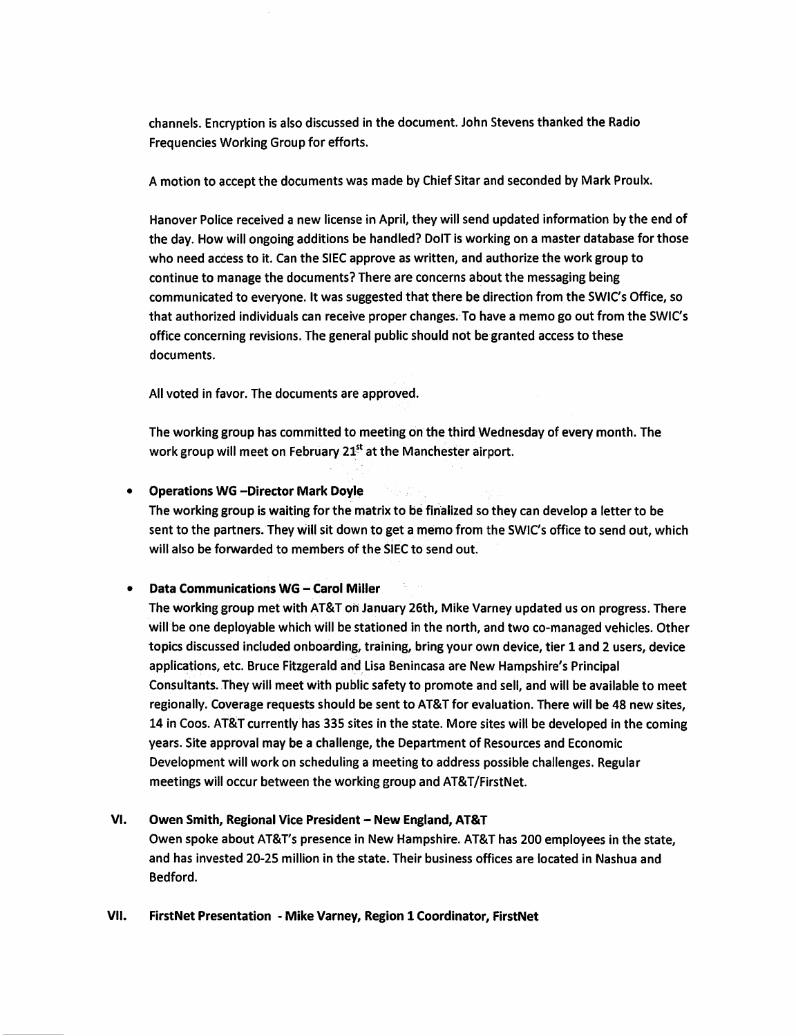channels. Encryption is also discussed in the document. John Stevens thanked the Radio Frequencies Working Group for efforts.

A motion to accept the documents was made by Chief Sitar and seconded by Mark Proulx.

Hanover Police received a new license in April, they will send updated information by the end of the day. How will ongoing additions be handled? DolT is working on a master database for those who need access to it. Can the SIEC approve as written, and authorize the work group to continue to manage the documents? There are concerns about the messaging being communicated to everyone. It was suggested that there be direction from the SWIC's Office, so that authorized individuals can receive proper changes.To have a memo go out from the SWIC's office concerning revisions. The general public should not be granted access to these documents.

All voted in favor. The documents are approved.

The working group has committed to meeting on the third Wednesday of **every** month. The work group will meet on February 21<sup>st</sup> at the Manchester airport.

• **Operations WG -Director Mark Doyle** 

The working group is waiting for the matrix to be finalized so they can develop a letter to be sent to the partners. They will sit down to get a memo from the SWIC's office to send out, which will also be forwarded to members of the SIEC to send out.

### **Data Communications WG - Carol Miller**

The working group met with AT&T oh January 26th, Mike Varney updated us on progress. There will be one deployable which will be stationed in the north, and two co-managed vehicles. Other topics discussed included onboarding, training, bring your own device, tier 1 and 2 users, device applications, etc. Bruce Fitzgerald and. Lisa Benincasa are New Hampshire's Principal Consultants. They will meet with public safety to promote and sell, and will be available to meet regionally. Coverage requests should be sent to AT&T for evaluation. There will be 48 new sites, 14 in Coos. AT&T currently has 335 sites in the state. More sites will be developed in the coming years. Site approval may be a challenge, the Department of Resources and Economic Development will work on scheduling a meeting to address possible challenges. Regular meetings will occur between the working group and AT&T/FirstNet.

### **VI. Owen Smith, Regional Vice President-New England, AT&T**

Owen spoke about AT&T's presence in New Hampshire. AT&T has 200 employees in the state, and has invested 20-25 million in the state. Their business offices are located in Nashua and Bedford.

### **VII. FirstNet Presentation** - **Mike Varney, Region 1 Coordinator, FirstNet**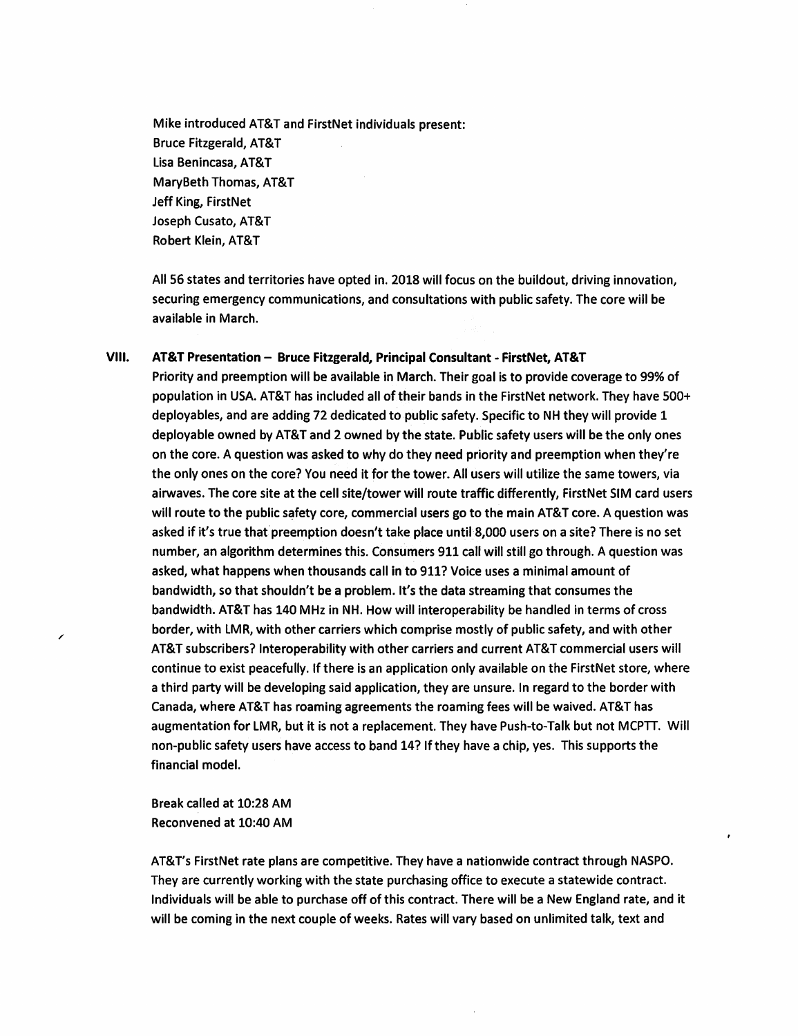Mike introduced AT&T and FirstNet individuals present: Bruce Fitzgerald, AT&T Lisa Benincasa, AT&T MaryBeth Thomas, AT&T Jeff King, FirstNet Joseph Cusato, AT&T Robert Klein, AT&T

All 56 states and territories have opted in. 2018 will focus on the buildout, driving innovation, securing emergency communications, and consultations with public safety. The core will be available in March.

# VIII. AT&T Presentation - Bruce Fitzgerald, Principal Consultant - FirstNet, AT&T

Priority and preemption will be available in March. Their goal is to provide coverage to 99% of population in USA. AT&T has included all of their bands in the FirstNet network. They have 500+ deployables, and are adding 72 dedicated to public safety. Specific to NH they will provide 1 deployable owned by AT&T and 2 owned by the state. Public safety users will be the only ones on the core. A question was asked to why do they need priority and preemption when they're the only ones on the core? You need it for the tower. All users will utilize the same towers, via airwaves. The core site at the cell site/tower will route traffic differently, FirstNet SIM card users will route to the public safety core, commercial users go to the main AT&T core. A question was asked if it's true that preemption doesn't take place until 8,000 users on a site? There is no set number, an algorithm determines this. Consumers 911 call will still go through. A question was asked, what happens when thousands call in to 911? Voice uses a minimal amount of bandwidth, so that shouldn't be a problem. It's the data streaming that consumes the bandwidth. AT&T has 140 MHz in NH. How will interoperability be handled in terms of cross border, with LMR, with other carriers which comprise mostly of public safety, and with other AT&T subscribers? Interoperability with other carriers and current AT&T commercial users will continue to exist peacefully. If there is an application only available on the FirstNet store, where a third party will be developing said application, they are unsure. In regard to the border with Canada, where AT&T has roaming agreements the roaming fees will be waived. AT&T has augmentation for LMR, but it is not a replacement. They have Push-to-Talk but not MCPTT. Will non-public safety users have access to band 14? If they have a chip, yes. This supports the financial model.

Break called at 10:28 AM Reconvened at 10:40 AM

/

AT&T's FirstNet rate plans are competitive. They have a nationwide contract through NASPO. They are currently working with the state purchasing office to execute a statewide contract. Individuals will be able to purchase off of this contract. There will be a New England rate, and it will be coming in the next couple of weeks. Rates will vary based on unlimited talk, text and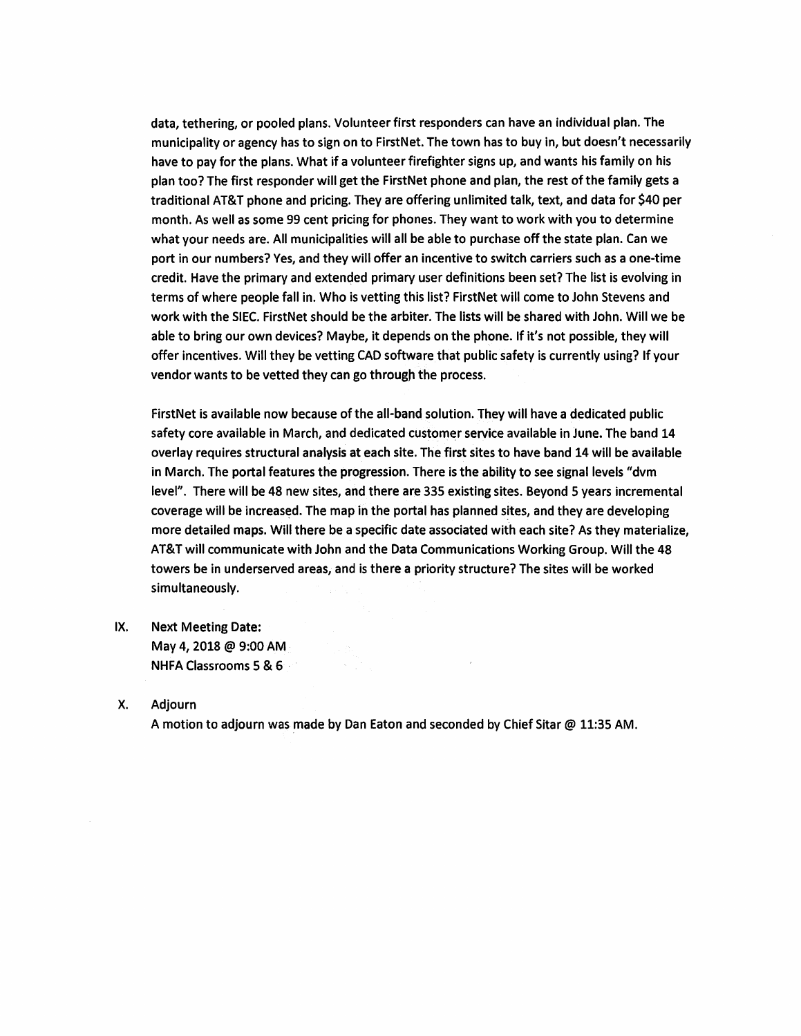data, tethering, or pooled plans. Volunteer first responders can have an individual plan. The municipality or agency has to sign on to FirstNet. The town has to buy in, but doesn't necessarily have to pay for the plans. What if a volunteer firefighter signs up, and wants his family on his plan too? The first responder will get the FirstNet phone and plan, the rest of the family gets a traditional AT&T phone and pricing. They are offering unlimited talk, text, and data for \$40 per month. As well as some 99 cent pricing for phones. They want to work with you to determine what your needs are. All municipalities will all be able to purchase off the state plan. Can we port in our numbers? Yes, and they will offer an incentive to switch carriers such **as a** one-time credit. Have the primary and extended primary user definitions been set? The list is evolving in terms of where people fall in. Who is vetting this list? FirstNet will come to John Stevens and work with the SIEC. FirstNet should be the arbiter. The lists will be shared with John. Will we be able to bring our own devices? Maybe, it depends on the phone. If it's not possible, they will offer incentives. Will they be vetting CAD software that public safety is currently using? If your vendor wants to be vetted they can go through the process.

FirstNet is available now because of the all-band solution. They will have a dedicated public safety core available in March, and dedicated customer service available in June. The band 14 overlay requires structural analysis at each site. The first sites to have band 14 will be available in March. The portal features the progression. There is the ability to see signal levels "dvm level". There will be 48 new sites, and there are 335 existing sites. Beyond 5 years incremental coverage will be increased. The map in the portal has planned sites, and they are developing more detailed maps. Will there be a specific date associated with each site? As they materialize, AT&T will communicate with John and the Data Communications Working Group. Will the 48 towers be in underserved areas, and is there a priority structure? The sites will be worked simultaneously.

- IX. Next Meeting Date: May 4, 2018 @ 9:00 AM NHFA Classrooms 5 & 6 ·
- X. Adjourn

A motion to adjourn was made by Dan Eaton and seconded by Chief Sitar @ 11:35 AM.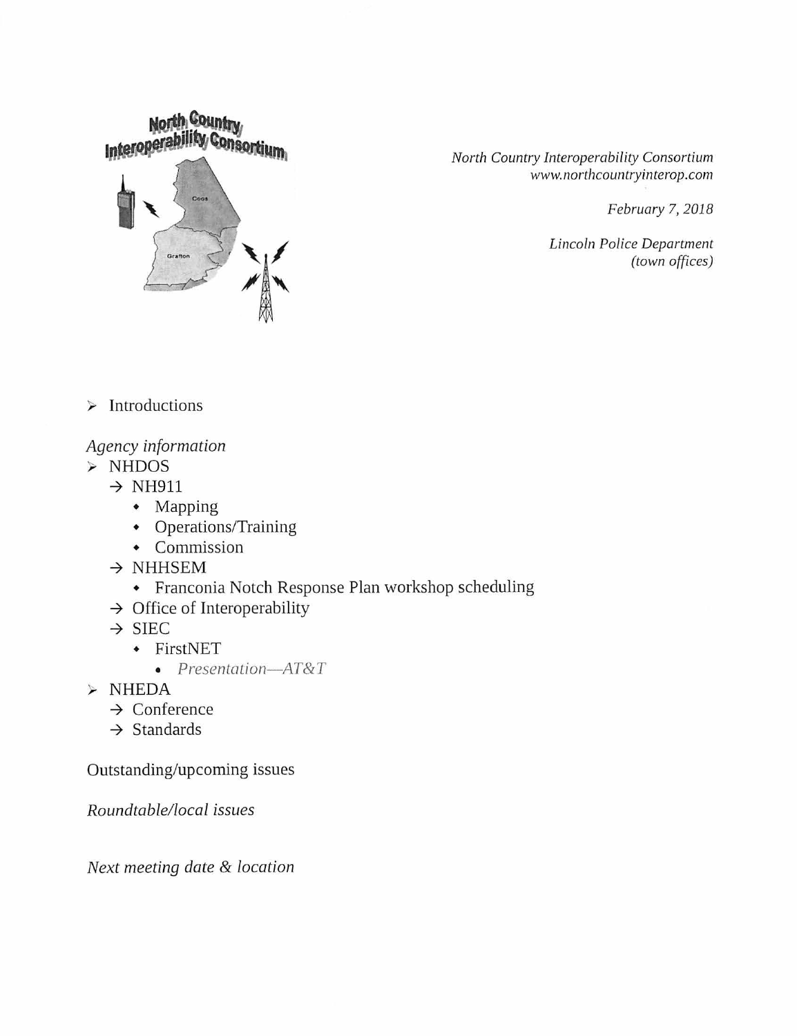

*North Country Interoperability Consortium www.northcountryinterop.com* 

*February* 7, *2018* 

*Lincoln Police Department (town offices)* 

 $\triangleright$  Introductions

# *Agency information*

- NHDOS
	- $\rightarrow$  NH911
		- Mapping
		- Operations/Training
		- Commission
	- $\rightarrow$  NHHSEM
		- Franconia Notch Response Plan workshop scheduling
	- $\rightarrow$  Office of Interoperability
	- $\rightarrow$  SIEC
		- FirstNET
			- *Presentation- AT&T*
- $>$  NHEDA
	- $\rightarrow$  Conference
	- $\rightarrow$  Standards

Outstanding/upcoming issues

*Roundtable/local issues* 

*Next meeting date* & *location*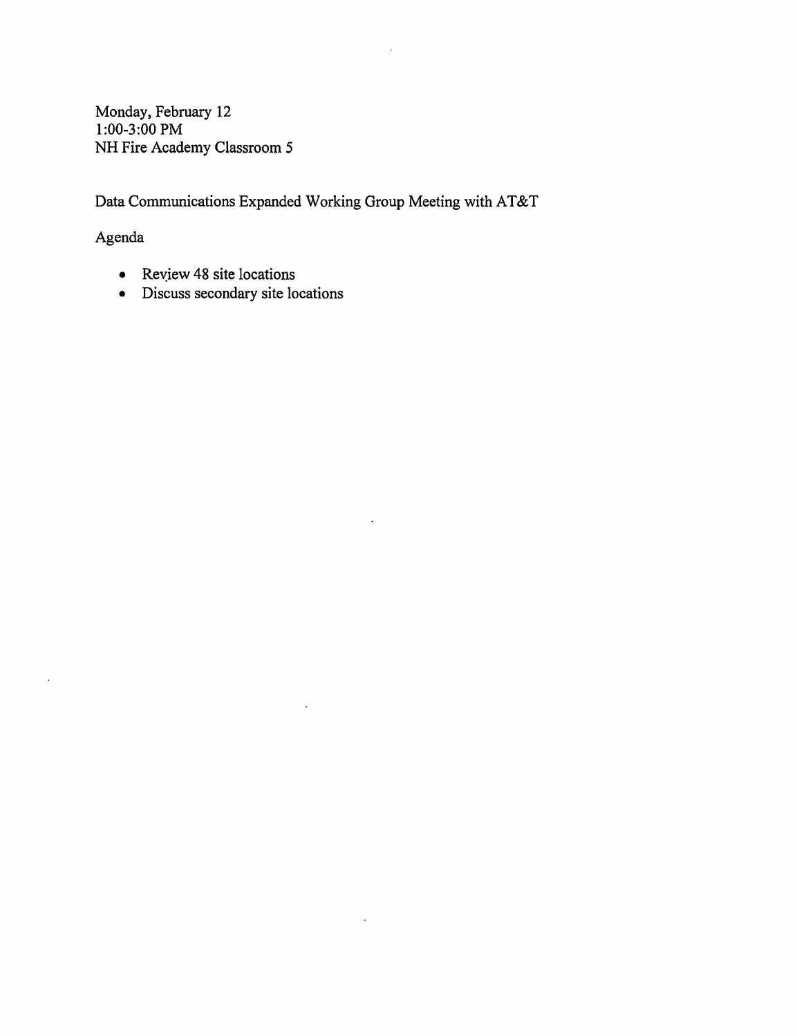Monday, February 12 1:00-3:00 PM NH Fire Academy Classroom 5

Data Communications Expanded Working Group Meeting with AT&T

 $\overline{a}$ 

 $\ddot{\phantom{a}}$ 

 $\ddot{\phantom{0}}$ 

 $\ddot{\phantom{a}}$ 

# Agenda

 $\ddot{\phantom{a}}$ 

- Review 48 site locations
- Discuss secondary site locations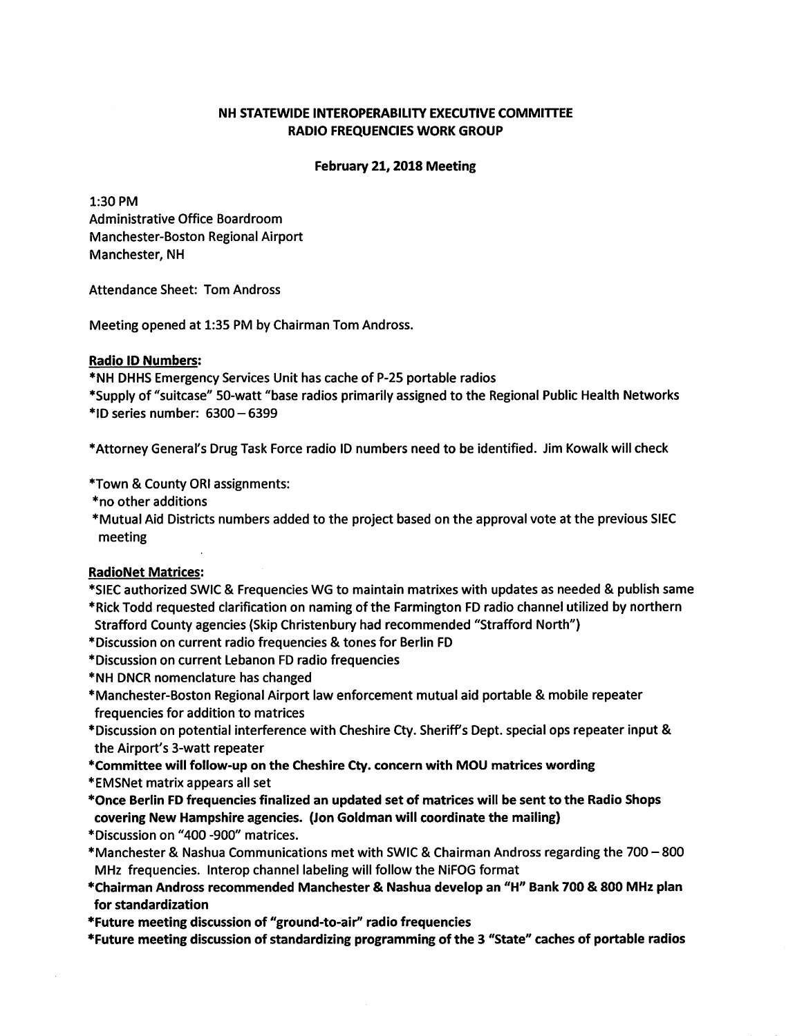## **NH STATEWIDE INTEROPERABILITY EXECUTIVE COMMITTEE RADIO FREQUENCIES WORK GROUP**

### **February 21, 2018 Meeting**

1:30 PM Administrative Office Boardroom Manchester-Boston Regional Airport Manchester, NH

Attendance Sheet: Tom Andross

Meeting opened at 1:35 PM by Chairman Tom Andross.

## **Radio ID Numbers:**

\*NH DHHS Emergency Services Unit has cache of P-25 portable radios

\*Supply of "suitcase" SO-watt "base radios primarily assigned to the Regional Public Health Networks  $*$ ID series number:  $6300 - 6399$ 

\*Attorney General's Drug Task Force radio ID numbers need to be identified. Jim Kowalk will check

\*Town & County ORI assignments:

- \*no other additions
- \*Mutual Aid Districts numbers added to the project based on the approval vote at the previous SIEC meeting

# **RadioNet Matrices:**

\*SIEC authorized SWIC & Frequencies WG to maintain matrixes with updates as needed & publish same \*Rick Todd requested clarification on naming of the Farmington FD radio channel utilized by northern

Strafford County agencies {Skip Christenbury had recommended "Strafford North"}

\*Discussion on current radio frequencies & tones for Berlin FD

- \*Discussion on current Lebanon FD radio frequencies
- \*NH DNCR nomenclature has changed
- \*Manchester-Boston Regional Airport law enforcement mutual aid portable & mobile repeater frequencies for addition to matrices
- \*Discussion on potential interference with Cheshire Cty. Sheriff's Dept. special ops repeater input & the Airport's 3-watt repeater
- **\*Committee will follow-up on the Cheshire Cty. concern with MOU matrices wording**
- \*EMSNet matrix appears all set
- **\*Once Berlin FD frequencies finalized an updated set of matrices will be sent to the Radio Shops covering New Hampshire agencies. (Jon Goldman will coordinate the mailing)**
- \*Discussion on "400 -900" matrices.
- \*Manchester & Nashua Communications met with SWIC & Chairman Andross regarding the 700 800 MHz frequencies. lnterop channel labeling will follow the NiFOG format
- **\*Chairman Andross recommended Manchester** & **Nashua develop an** "H" **Bank 700** & **800 MHz plan for standardization**

**\*Future meeting discussion of "ground-to-air'' radio frequencies** 

**\*Future meeting discussion of standardizing programming of the 3 "State" caches of portable radios**